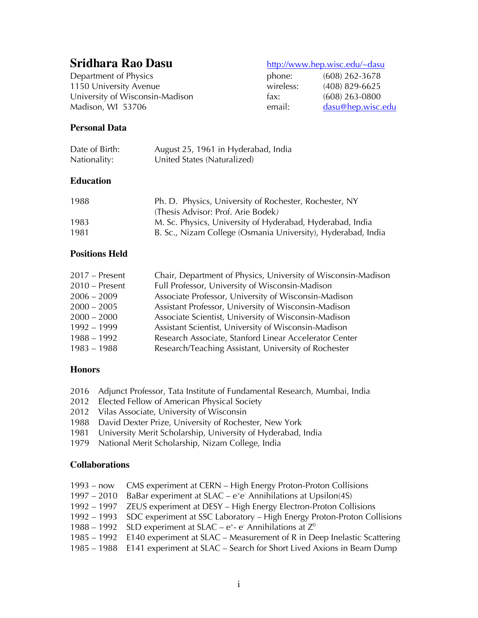# **Sridhara Rao Dasu** http://www.hep.wisc.edu/~dasu

Department of Physics phone: phone: phone: phone: phone: phone: phone: phone: phone: phone: phone: phone: phone: phone: phone: phone: phone: phone: phone: phone: phone: phone: phone: phone: phone: phone: phone: phone: phon 1150 University Avenue wireless: wireless: wireless: wireless: wireless: wireless: wireless: wireless: wireles University of Wisconsin-Madison fax: (608) 263-0800 Madison, WI 53706 email: email: email: email: email: email: email: email: email: email: email: email: email: e

| phone:       | $(608)$ 262-3678  |
|--------------|-------------------|
| $w$ ireless: | $(408)$ 829-6625  |
| ax:          | $(608)$ 263-0800  |
| email:       | dasu@hep.wisc.edu |

# **Personal Data**

| Date of Birth: | August 25, 1961 in Hyderabad, India |
|----------------|-------------------------------------|
| Nationality:   | United States (Naturalized)         |

#### **Education**

| 1988 | Ph. D. Physics, University of Rochester, Rochester, NY       |
|------|--------------------------------------------------------------|
|      | (Thesis Advisor: Prof. Arie Bodek)                           |
| 1983 | M. Sc. Physics, University of Hyderabad, Hyderabad, India    |
| 1981 | B. Sc., Nizam College (Osmania University), Hyderabad, India |

# **Positions Held**

| $2017$ – Present | Chair, Department of Physics, University of Wisconsin-Madison |
|------------------|---------------------------------------------------------------|
| $2010$ – Present | Full Professor, University of Wisconsin-Madison               |
| $2006 - 2009$    | Associate Professor, University of Wisconsin-Madison          |
| $2000 - 2005$    | Assistant Professor, University of Wisconsin-Madison          |
| $2000 - 2000$    | Associate Scientist, University of Wisconsin-Madison          |
| $1992 - 1999$    | Assistant Scientist, University of Wisconsin-Madison          |
| $1988 - 1992$    | Research Associate, Stanford Linear Accelerator Center        |
| $1983 - 1988$    | Research/Teaching Assistant, University of Rochester          |

# **Honors**

- 2016 Adjunct Professor, Tata Institute of Fundamental Research, Mumbai, India
- 2012 Elected Fellow of American Physical Society
- 2012 Vilas Associate, University of Wisconsin
- 1988 David Dexter Prize, University of Rochester, New York
- 1981 University Merit Scholarship, University of Hyderabad, India
- 1979 National Merit Scholarship, Nizam College, India

# **Collaborations**

- 1993 now CMS experiment at CERN High Energy Proton-Proton Collisions
- $1997 2010$  BaBar experiment at SLAC  $e^+e^-$  Annihilations at Upsilon(4S)
- 1992 1997 ZEUS experiment at DESY High Energy Electron-Proton Collisions
- 1992 1993 SDC experiment at SSC Laboratory High Energy Proton-Proton Collisions
- 1988 1992 SLD experiment at SLAC  $e^+$  e<sup>-</sup> Annihilations at  $Z^0$
- 1985 1992 E140 experiment at SLAC Measurement of R in Deep Inelastic Scattering
- 1985 1988 E141 experiment at SLAC Search for Short Lived Axions in Beam Dump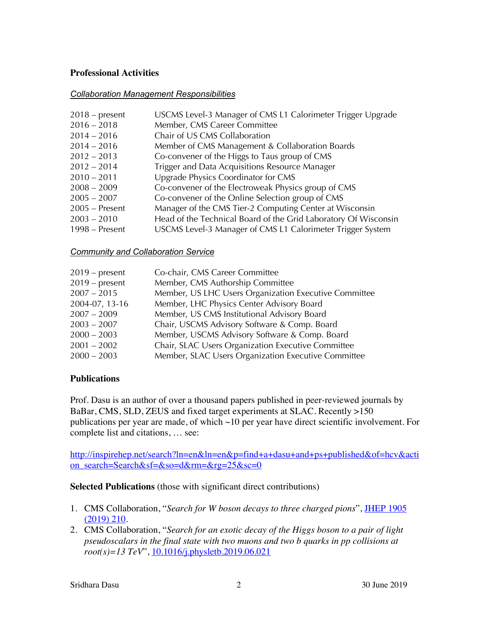# **Professional Activities**

#### *Collaboration Management Responsibilities*

| $2018$ – present | USCMS Level-3 Manager of CMS L1 Calorimeter Trigger Upgrade     |
|------------------|-----------------------------------------------------------------|
| $2016 - 2018$    | Member, CMS Career Committee                                    |
| $2014 - 2016$    | Chair of US CMS Collaboration                                   |
| $2014 - 2016$    | Member of CMS Management & Collaboration Boards                 |
| $2012 - 2013$    | Co-convener of the Higgs to Taus group of CMS                   |
| $2012 - 2014$    | Trigger and Data Acquisitions Resource Manager                  |
| $2010 - 2011$    | Upgrade Physics Coordinator for CMS                             |
| $2008 - 2009$    | Co-convener of the Electroweak Physics group of CMS             |
| $2005 - 2007$    | Co-convener of the Online Selection group of CMS                |
| $2005$ – Present | Manager of the CMS Tier-2 Computing Center at Wisconsin         |
| $2003 - 2010$    | Head of the Technical Board of the Grid Laboratory Of Wisconsin |
| 1998 – Present   | USCMS Level-3 Manager of CMS L1 Calorimeter Trigger System      |
|                  |                                                                 |

#### *Community and Collaboration Service*

| $2019$ – present | Co-chair, CMS Career Committee                        |
|------------------|-------------------------------------------------------|
| $2019$ – present | Member, CMS Authorship Committee                      |
| $2007 - 2015$    | Member, US LHC Users Organization Executive Committee |
| 2004-07, 13-16   | Member, LHC Physics Center Advisory Board             |
| $2007 - 2009$    | Member, US CMS Institutional Advisory Board           |
| $2003 - 2007$    | Chair, USCMS Advisory Software & Comp. Board          |
| $2000 - 2003$    | Member, USCMS Advisory Software & Comp. Board         |
| $2001 - 2002$    | Chair, SLAC Users Organization Executive Committee    |
| $2000 - 2003$    | Member, SLAC Users Organization Executive Committee   |

# **Publications**

Prof. Dasu is an author of over a thousand papers published in peer-reviewed journals by BaBar, CMS, SLD, ZEUS and fixed target experiments at SLAC. Recently >150 publications per year are made, of which  $\sim$ 10 per year have direct scientific involvement. For complete list and citations, … see:

http://inspirehep.net/search?ln=en&ln=en&p=find+a+dasu+and+ps+published&of=hcv&acti on\_search=Search&sf=&so=d&rm=&rg=25&sc=0

# **Selected Publications** (those with significant direct contributions)

- 1. CMS Collaboration, "*Search for W boson decays to three charged pions*", JHEP 1905 (2019) 210.
- 2. CMS Collaboration, "*Search for an exotic decay of the Higgs boson to a pair of light pseudoscalars in the final state with two muons and two b quarks in pp collisions at root(s)=13 TeV*", 10.1016/j.physletb.2019.06.021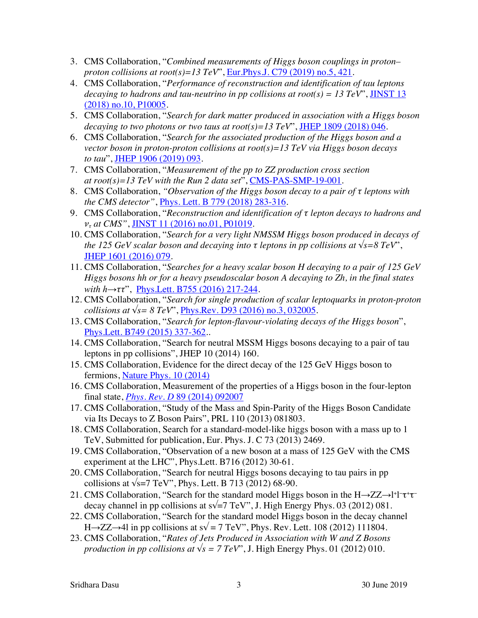- 3. CMS Collaboration, "*Combined measurements of Higgs boson couplings in proton– proton collisions at root(s)=13 TeV"*, *<u>Eur.Phys.J. C79 (2019) no.5, 421</u>.*
- 4. CMS Collaboration, "*Performance of reconstruction and identification of tau leptons decaying to hadrons and tau-neutrino in pp collisions at root(s) = 13 TeV*", JINST 13 (2018) no.10, P10005.
- 5. CMS Collaboration, "*Search for dark matter produced in association with a Higgs boson decaying to two photons or two taus at root(s)=13 TeV*", JHEP 1809 (2018) 046.
- 6. CMS Collaboration, "*Search for the associated production of the Higgs boson and a vector boson in proton-proton collisions at root(s)=13 TeV via Higgs boson decays to tau*", JHEP 1906 (2019) 093.
- 7. CMS Collaboration, "*Measurement of the pp to ZZ production cross section at root(s)=13 TeV with the Run 2 data set*", CMS-PAS-SMP-19-001.
- 8. CMS Collaboration, *"Observation of the Higgs boson decay to a pair of τ leptons with the CMS detector"*, Phys. Lett. B 779 (2018) 283-316.
- 9. CMS Collaboration, "*Reconstruction and identification of τ lepton decays to hadrons and ντ at CMS"*, JINST 11 (2016) no.01, P01019.
- 10. CMS Collaboration, "*Search for a very light NMSSM Higgs boson produced in decays of the 125 GeV scalar boson and decaying into*  $\tau$  *leptons in pp collisions at*  $\sqrt{s} = 8 \text{ TeV}$ <sup>\*</sup>, JHEP 1601 (2016) 079.
- 11. CMS Collaboration, "*Searches for a heavy scalar boson H decaying to a pair of 125 GeV Higgs bosons hh or for a heavy pseudoscalar boson A decaying to Zh, in the final states with h→ττ*", Phys.Lett. B755 (2016) 217-244.
- 12. CMS Collaboration, "*Search for single production of scalar leptoquarks in proton-proton collisions at √s= 8 TeV*", Phys.Rev. D93 (2016) no.3, 032005.
- 13. CMS Collaboration, "*Search for lepton-flavour-violating decays of the Higgs boson*", Phys.Lett. B749 (2015) 337-362..
- 14. CMS Collaboration, "Search for neutral MSSM Higgs bosons decaying to a pair of tau leptons in pp collisions", JHEP 10 (2014) 160.
- 15. CMS Collaboration, Evidence for the direct decay of the 125 GeV Higgs boson to fermions, Nature Phys. 10 (2014)
- 16. CMS Collaboration, Measurement of the properties of a Higgs boson in the four-lepton final state, *Phys. Rev. D* 89 (2014) 092007
- 17. CMS Collaboration, "Study of the Mass and Spin-Parity of the Higgs Boson Candidate via Its Decays to Z Boson Pairs", PRL 110 (2013) 081803.
- 18. CMS Collaboration, Search for a standard-model-like higgs boson with a mass up to 1 TeV, Submitted for publication, Eur. Phys. J. C 73 (2013) 2469.
- 19. CMS Collaboration, "Observation of a new boson at a mass of 125 GeV with the CMS experiment at the LHC", Phys.Lett. B716 (2012) 30-61.
- 20. CMS Collaboration, "Search for neutral Higgs bosons decaying to tau pairs in pp collisions at  $\sqrt{s}$ =7 TeV", Phys. Lett. B 713 (2012) 68-90.
- 21. CMS Collaboration, "Search for the standard model Higgs boson in the H→ZZ→l+l-τ+τdecay channel in pp collisions at  $s\sqrt{=}7$  TeV", J. High Energy Phys. 03 (2012) 081.
- 22. CMS Collaboration, "Search for the standard model Higgs boson in the decay channel H→ZZ→4l in pp collisions at s $\sqrt{$  = 7 TeV", Phys. Rev. Lett. 108 (2012) 111804.
- 23. CMS Collaboration, "*Rates of Jets Produced in Association with W and Z Bosons production in pp collisions at*  $\sqrt{s} = 7 \text{ TeV}$ , J. High Energy Phys. 01 (2012) 010.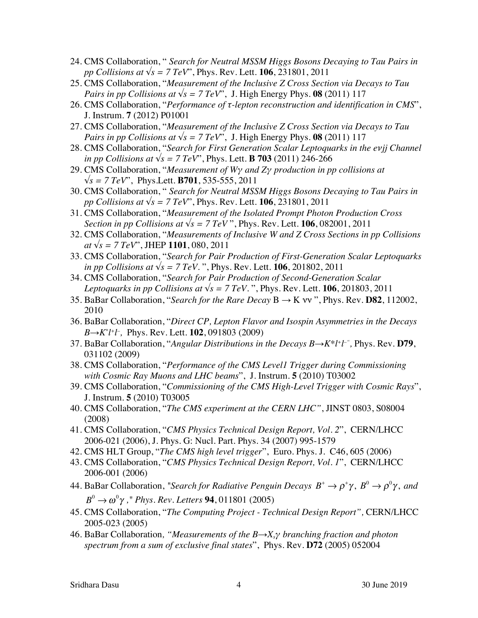- 24. CMS Collaboration, " *Search for Neutral MSSM Higgs Bosons Decaying to Tau Pairs in pp Collisions at √s = 7 TeV*", Phys. Rev. Lett. **106**, 231801, 2011
- 25. CMS Collaboration, "*Measurement of the Inclusive Z Cross Section via Decays to Tau Pairs in pp Collisions at*  $\sqrt{s} = 7 \text{ TeV}$ , J. High Energy Phys. **08** (2011) 117
- 26. CMS Collaboration, "*Performance of τ-lepton reconstruction and identification in CMS*", J. Instrum. **7** (2012) P01001
- 27. CMS Collaboration, "*Measurement of the Inclusive Z Cross Section via Decays to Tau Pairs in pp Collisions at*  $\sqrt{s}$  = 7 TeV", J. High Energy Phys. **08** (2011) 117
- 28. CMS Collaboration, "*Search for First Generation Scalar Leptoquarks in the eνjj Channel in pp Collisions at*  $\sqrt{s}$  = 7 TeV", Phys. Lett. **B 703** (2011) 246-266
- 29. CMS Collaboration, "*Measurement of Wγ and Zγ production in pp collisions at √s = 7 TeV*", Phys.Lett. **B701**, 535-555, 2011
- 30. CMS Collaboration, " *Search for Neutral MSSM Higgs Bosons Decaying to Tau Pairs in pp Collisions at √s = 7 TeV*", Phys. Rev. Lett. **106**, 231801, 2011
- 31. CMS Collaboration, "*Measurement of the Isolated Prompt Photon Production Cross Section in pp Collisions at*  $\sqrt{s}$  = 7 TeV", Phys. Rev. Lett. **106**, 082001, 2011
- 32. CMS Collaboration, "*Measurements of Inclusive W and Z Cross Sections in pp Collisions at √s = 7 TeV*", JHEP **1101**, 080, 2011
- 33. CMS Collaboration, "*Search for Pair Production of First-Generation Scalar Leptoquarks in pp Collisions at √s = 7 TeV*. ", Phys. Rev. Lett. **106**, 201802, 2011
- 34. CMS Collaboration, "*Search for Pair Production of Second-Generation Scalar Leptoquarks in pp Collisions at*  $\sqrt{s}$  = 7 TeV. ", Phys. Rev. Lett. **106**, 201803, 2011
- 35. BaBar Collaboration, "*Search for the Rare Decay* B → K νν ", Phys. Rev. **D82**, 112002, 2010
- 36. BaBar Collaboration, "*Direct CP, Lepton Flavor and Isospin Asymmetries in the Decays B*→*K*<sup>\*</sup>*l*<sup>+</sup>*l*<sup>-</sup>, Phys. Rev. Lett. **102**, 091803 (2009)
- 37. BaBar Collaboration, "*Angular Distributions in the Decays B→K\*l+l –",* Phys. Rev. **D79**, 031102 (2009)
- 38. CMS Collaboration, "*Performance of the CMS Level1 Trigger during Commissioning with Cosmic Ray Muons and LHC beams*", J. Instrum. **5** (2010) T03002
- 39. CMS Collaboration, "*Commissioning of the CMS High-Level Trigger with Cosmic Rays*", J. Instrum. **5** (2010) T03005
- 40. CMS Collaboration, "*The CMS experiment at the CERN LHC"*, JINST 0803, S08004 (2008)
- 41. CMS Collaboration, "*CMS Physics Technical Design Report, Vol. 2*", CERN/LHCC 2006-021 (2006), J. Phys. G: Nucl. Part. Phys. 34 (2007) 995-1579
- 42. CMS HLT Group, "*The CMS high level trigger*", Euro. Phys. J. C46, 605 (2006)
- 43. CMS Collaboration, "*CMS Physics Technical Design Report, Vol. 1*", CERN/LHCC 2006-001 (2006)
- 44. BaBar Collaboration, "Search for Radiative Penguin Decays  $B^+ \to \rho^+ \gamma$ ,  $B^0 \to \rho^0 \gamma$ , and  $B^0$  →  $ω^0γ$  ," *Phys. Rev. Letters* **94**, 011801 (2005)
- 45. CMS Collaboration, "*The Computing Project - Technical Design Report",* CERN/LHCC 2005-023 (2005)
- 46. BaBar Collaboration*, "Measurements of the B→Xsγ branching fraction and photon spectrum from a sum of exclusive final states*", Phys. Rev. **D72** (2005) 052004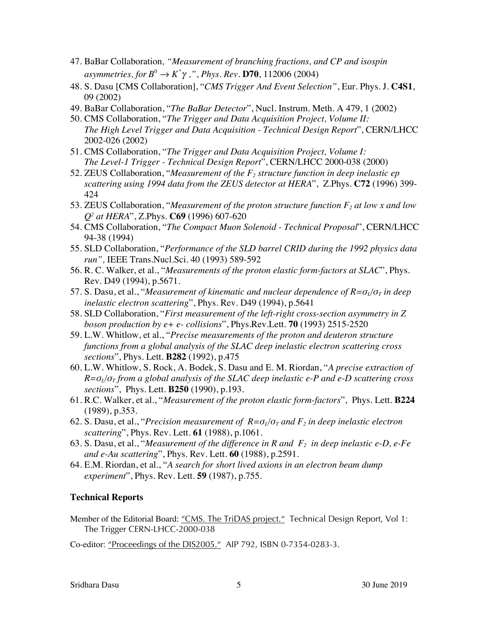- 47. BaBar Collaboration*, "Measurement of branching fractions, and CP and isospin asymmetries, for B*<sup>0</sup> → *K*<sup>\*</sup>γ ,", Phys. Rev. **D70**, 112006 (2004)
- 48. S. Dasu [CMS Collaboration], "*CMS Trigger And Event Selection"*, Eur. Phys. J. **C4S1**, 09 (2002)
- 49. BaBar Collaboration, "*The BaBar Detector*", Nucl. Instrum. Meth. A 479, 1 (2002)
- 50. CMS Collaboration, "*The Trigger and Data Acquisition Project, Volume II: The High Level Trigger and Data Acquisition - Technical Design Report*", CERN/LHCC 2002-026 (2002)
- 51. CMS Collaboration, "*The Trigger and Data Acquisition Project, Volume I: The Level-1 Trigger - Technical Design Report*", CERN/LHCC 2000-038 (2000)
- 52. ZEUS Collaboration, "*Measurement of the*  $F_2$  *structure function in deep inelastic ep scattering using 1994 data from the ZEUS detector at HERA*", Z.Phys. **C72** (1996) 399- 424
- 53. ZEUS Collaboration, "*Measurement of the proton structure function F2 at low x and low Q2 at HERA*", Z.Phys. **C69** (1996) 607-620
- 54. CMS Collaboration, "*The Compact Muon Solenoid - Technical Proposal*", CERN/LHCC 94-38 (1994)
- 55. SLD Collaboration, "*Performance of the SLD barrel CRID during the 1992 physics data run",* IEEE Trans.Nucl.Sci. 40 (1993) 589-592
- 56. R. C. Walker, et al., "*Measurements of the proton elastic form-factors at SLAC*", Phys. Rev. D49 (1994), p.5671.
- 57. S. Dasu, et al., "*Measurement of kinematic and nuclear dependence of R=σL/σ<sup>T</sup> in deep inelastic electron scattering*", Phys. Rev. D49 (1994), p.5641
- 58. SLD Collaboration, "*First measurement of the left-right cross-section asymmetry in Z boson production by e+ e- collisions*", Phys.Rev.Lett. **70** (1993) 2515-2520
- 59. L.W. Whitlow, et al., "*Precise measurements of the proton and deuteron structure functions from a global analysis of the SLAC deep inelastic electron scattering cross sections*", Phys. Lett. **B282** (1992), p.475
- 60. L.W. Whitlow, S. Rock, A. Bodek, S. Dasu and E. M. Riordan, "*A precise extraction of*   $R = \sigma_l/\sigma_T$  *from a global analysis of the SLAC deep inelastic e-P and e-D scattering cross sections*", Phys. Lett. **B250** (1990), p.193.
- 61. R.C. Walker, et al., "*Measurement of the proton elastic form-factors*", Phys. Lett. **B224** (1989), p.353.
- 62. S. Dasu, et al., "*Precision measurement of R=σL/σ<sup>T</sup> and F2 in deep inelastic electron scattering*", Phys. Rev. Lett. **61** (1988), p.1061.
- 63. S. Dasu, et al., "*Measurement of the difference in R and F2 in deep inelastic e-D, e-Fe and e-Au scattering*", Phys. Rev. Lett. **60** (1988), p.2591.
- 64. E.M. Riordan, et al., "*A search for short lived axions in an electron beam dump experiment*", Phys. Rev. Lett. **59** (1987), p.755.

# **Technical Reports**

Member of the Editorial Board: "CMS. The TriDAS project." Technical Design Report, Vol 1: The Trigger CERN-LHCC-2000-038

Co-editor: "Proceedings of the DIS2005." AIP 792, ISBN 0-7354-0283-3.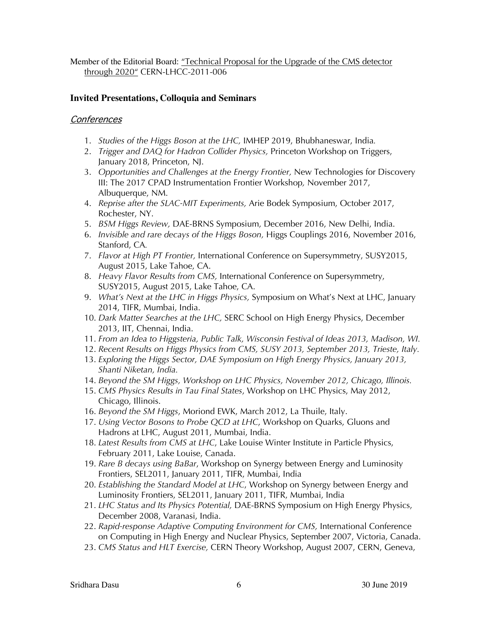Member of the Editorial Board: "Technical Proposal for the Upgrade of the CMS detector through 2020" CERN-LHCC-2011-006

# **Invited Presentations, Colloquia and Seminars**

# Conferences

- 1. *Studies of the Higgs Boson at the LHC,* IMHEP 2019, Bhubhaneswar, India*.*
- 2. *Trigger and DAQ for Hadron Collider Physics,* Princeton Workshop on Triggers, January 2018, Princeton, NJ.
- 3. *Opportunities and Challenges at the Energy Frontier,* New Technologies for Discovery III: The 2017 CPAD Instrumentation Frontier Workshop*,* November 2017, Albuquerque, NM.
- 4. *Reprise after the SLAC-MIT Experiments,* Arie Bodek Symposium, October 2017, Rochester, NY.
- 5. *BSM Higgs Review,* DAE-BRNS Symposium, December 2016, New Delhi, India.
- 6. *Invisible and rare decays of the Higgs Boson,* Higgs Couplings 2016, November 2016, Stanford, CA*.*
- 7. *Flavor at High PT Frontier,* International Conference on Supersymmetry, SUSY2015, August 2015, Lake Tahoe, CA.
- 8. *Heavy Flavor Results from CMS,* International Conference on Supersymmetry, SUSY2015, August 2015, Lake Tahoe, CA.
- 9. *What's Next at the LHC in Higgs Physics,* Symposium on What's Next at LHC, January 2014, TIFR, Mumbai, India.
- 10. *Dark Matter Searches at the LHC,* SERC School on High Energy Physics, December 2013, IIT, Chennai, India.
- 11. *From an Idea to Higgsteria, Public Talk, Wisconsin Festival of Ideas 2013, Madison, WI.*
- 12. *Recent Results on Higgs Physics from CMS, SUSY 2013, September 2013, Trieste, Italy.*
- 13. *Exploring the Higgs Sector, DAE Symposium on High Energy Physics, January 2013, Shanti Niketan, India.*
- 14. *Beyond the SM Higgs, Workshop on LHC Physics, November 2012, Chicago, Illinois.*
- 15. *CMS Physics Results in Tau Final States*, Workshop on LHC Physics, May 2012, Chicago, Illinois.
- 16. *Beyond the SM Higgs*, Moriond EWK, March 2012, La Thuile, Italy.
- 17. *Using Vector Bosons to Probe QCD at LHC*, Workshop on Quarks, Gluons and Hadrons at LHC, August 2011, Mumbai, India.
- 18. *Latest Results from CMS at LHC*, Lake Louise Winter Institute in Particle Physics, February 2011, Lake Louise, Canada.
- 19. *Rare B decays using BaBar*, Workshop on Synergy between Energy and Luminosity Frontiers, SEL2011, January 2011, TIFR, Mumbai, India
- 20. *Establishing the Standard Model at LHC*, Workshop on Synergy between Energy and Luminosity Frontiers, SEL2011, January 2011, TIFR, Mumbai, India
- 21. *LHC Status and Its Physics Potential,* DAE-BRNS Symposium on High Energy Physics, December 2008, Varanasi, India.
- 22. *Rapid-response Adaptive Computing Environment for CMS,* International Conference on Computing in High Energy and Nuclear Physics, September 2007, Victoria, Canada.
- 23. *CMS Status and HLT Exercise,* CERN Theory Workshop, August 2007, CERN, Geneva,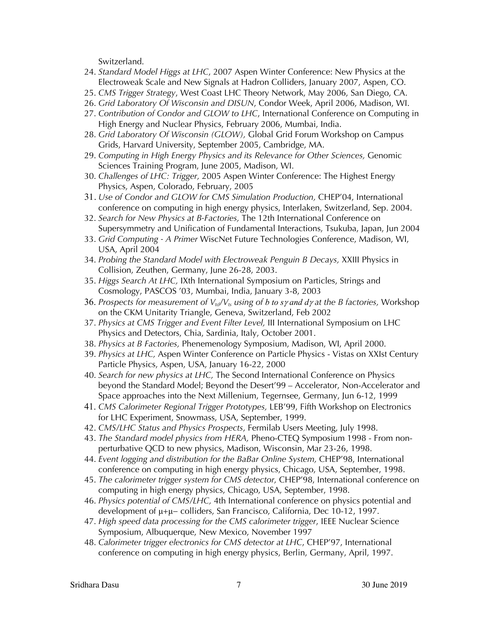Switzerland.

- 24. *Standard Model Higgs at LHC*, 2007 Aspen Winter Conference: New Physics at the Electroweak Scale and New Signals at Hadron Colliders, January 2007, Aspen, CO.
- 25. *CMS Trigger Strategy*, West Coast LHC Theory Network, May 2006, San Diego, CA.
- 26. *Grid Laboratory Of Wisconsin and DISUN*, Condor Week, April 2006, Madison, WI.
- 27. *Contribution of Condor and GLOW to LHC*, International Conference on Computing in High Energy and Nuclear Physics, February 2006, Mumbai, India.
- 28. *Grid Laboratory Of Wisconsin (GLOW),* Global Grid Forum Workshop on Campus Grids, Harvard University, September 2005, Cambridge, MA.
- 29. *Computing in High Energy Physics and its Relevance for Other Sciences,* Genomic Sciences Training Program, June 2005, Madison, WI.
- 30. *Challenges of LHC: Trigger,* 2005 Aspen Winter Conference: The Highest Energy Physics, Aspen, Colorado, February, 2005
- 31. *Use of Condor and GLOW for CMS Simulation Production,* CHEP'04, International conference on computing in high energy physics, Interlaken, Switzerland, Sep. 2004.
- 32. *Search for New Physics at B-Factories,* The 12th International Conference on Supersymmetry and Unification of Fundamental Interactions, Tsukuba, Japan, Jun 2004
- 33. *Grid Computing - A Primer* WiscNet Future Technologies Conference, Madison, WI, USA, April 2004
- 34. *Probing the Standard Model with Electroweak Penguin B Decays,* XXIII Physics in Collision, Zeuthen, Germany, June 26-28, 2003.
- 35. *Higgs Search At LHC,* IXth International Symposium on Particles, Strings and Cosmology, PASCOS '03, Mumbai, India, January 3-8, 2003
- 36. Prospects for measurement of  $V_{td}/V_{ts}$  *using of b to sy and dy at the B factories,* Workshop on the CKM Unitarity Triangle, Geneva, Switzerland, Feb 2002
- 37. *Physics at CMS Trigger and Event Filter Level,* III International Symposium on LHC Physics and Detectors, Chia, Sardinia, Italy, October 2001.
- 38. *Physics at B Factories,* Phenemenology Symposium, Madison, WI, April 2000.
- 39. *Physics at LHC,* Aspen Winter Conference on Particle Physics Vistas on XXIst Century Particle Physics, Aspen, USA, January 16-22, 2000
- 40. *Search for new physics at LHC,* The Second International Conference on Physics beyond the Standard Model; Beyond the Desert'99 – Accelerator, Non-Accelerator and Space approaches into the Next Millenium, Tegernsee, Germany, Jun 6-12, 1999
- 41. *CMS Calorimeter Regional Trigger Prototypes,* LEB'99, Fifth Workshop on Electronics for LHC Experiment, Snowmass, USA, September, 1999.
- 42. *CMS/LHC Status and Physics Prospects*, Fermilab Users Meeting, July 1998.
- 43. *The Standard model physics from HERA,* Pheno-CTEQ Symposium 1998 From nonperturbative QCD to new physics, Madison, Wisconsin, Mar 23-26, 1998.
- 44. *Event logging and distribution for the BaBar Online System,* CHEP'98, International conference on computing in high energy physics, Chicago, USA, September, 1998.
- 45. *The calorimeter trigger system for CMS detector,* CHEP'98, International conference on computing in high energy physics, Chicago, USA, September, 1998.
- 46. *Physics potential of CMS/LHC,* 4th International conference on physics potential and development of μ+μ− colliders, San Francisco, California, Dec 10-12, 1997.
- 47. *High speed data processing for the CMS calorimeter trigger*, IEEE Nuclear Science Symposium, Albuquerque, New Mexico, November 1997
- 48. *Calorimeter trigger electronics for CMS detector at LHC*, CHEP'97, International conference on computing in high energy physics, Berlin, Germany, April, 1997.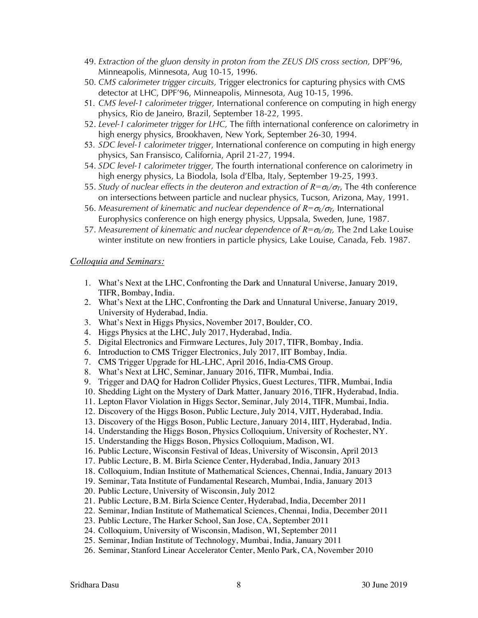- 49. *Extraction of the gluon density in proton from the ZEUS DIS cross section,* DPF'96, Minneapolis, Minnesota, Aug 10-15, 1996.
- 50. *CMS calorimeter trigger circuits,* Trigger electronics for capturing physics with CMS detector at LHC, DPF'96, Minneapolis, Minnesota, Aug 10-15, 1996.
- 51. *CMS level-1 calorimeter trigger,* International conference on computing in high energy physics, Rio de Janeiro, Brazil, September 18-22, 1995.
- 52. *Level-1 calorimeter trigger for LHC,* The fifth international conference on calorimetry in high energy physics, Brookhaven, New York, September 26-30, 1994.
- 53. *SDC level-1 calorimeter trigger*, International conference on computing in high energy physics, San Fransisco, California, April 21-27, 1994.
- 54. *SDC level-1 calorimeter trigger,* The fourth international conference on calorimetry in high energy physics, La Biodola, Isola d'Elba, Italy, September 19-25, 1993.
- 55. *Study of nuclear effects in the deuteron and extraction of*  $R = \sigma_l/\sigma_r$ *, The 4th conference* on intersections between particle and nuclear physics, Tucson, Arizona, May, 1991.
- 56. *Measurement of kinematic and nuclear dependence of*  $R = \sigma \sigma / \sigma$ *, International* Europhysics conference on high energy physics, Uppsala, Sweden, June, 1987.
- 57. *Measurement of kinematic and nuclear dependence of*  $R = \sigma_l/\sigma_T$ *, The 2nd Lake Louise* winter institute on new frontiers in particle physics, Lake Louise, Canada, Feb. 1987.

#### *Colloquia and Seminars:*

- 1. What's Next at the LHC, Confronting the Dark and Unnatural Universe, January 2019, TIFR, Bombay, India.
- 2. What's Next at the LHC, Confronting the Dark and Unnatural Universe, January 2019, University of Hyderabad, India.
- 3. What's Next in Higgs Physics, November 2017, Boulder, CO.
- 4. Higgs Physics at the LHC, July 2017, Hyderabad, India.
- 5. Digital Electronics and Firmware Lectures, July 2017, TIFR, Bombay, India.
- 6. Introduction to CMS Trigger Electronics, July 2017, IIT Bombay, India.
- 7. CMS Trigger Upgrade for HL-LHC, April 2016, India-CMS Group.
- 8. What's Next at LHC, Seminar, January 2016, TIFR, Mumbai, India.
- 9. Trigger and DAQ for Hadron Collider Physics, Guest Lectures, TIFR, Mumbai, India
- 10. Shedding Light on the Mystery of Dark Matter, January 2016, TIFR, Hyderabad, India.
- 11. Lepton Flavor Violation in Higgs Sector, Seminar, July 2014, TIFR, Mumbai, India.
- 12. Discovery of the Higgs Boson, Public Lecture, July 2014, VJIT, Hyderabad, India.
- 13. Discovery of the Higgs Boson, Public Lecture, January 2014, IIIT, Hyderabad, India.
- 14. Understanding the Higgs Boson, Physics Colloquium, University of Rochester, NY.
- 15. Understanding the Higgs Boson, Physics Colloquium, Madison, WI.
- 16. Public Lecture, Wisconsin Festival of Ideas, University of Wisconsin, April 2013
- 17. Public Lecture, B. M. Birla Science Center, Hyderabad, India, January 2013
- 18. Colloquium, Indian Institute of Mathematical Sciences, Chennai, India, January 2013
- 19. Seminar, Tata Institute of Fundamental Research, Mumbai, India, January 2013
- 20. Public Lecture, University of Wisconsin, July 2012
- 21. Public Lecture, B.M. Birla Science Center, Hyderabad, India, December 2011
- 22. Seminar, Indian Institute of Mathematical Sciences, Chennai, India, December 2011
- 23. Public Lecture, The Harker School, San Jose, CA, September 2011
- 24. Colloquium, University of Wisconsin, Madison, WI, September 2011
- 25. Seminar, Indian Institute of Technology, Mumbai, India, January 2011
- 26. Seminar, Stanford Linear Accelerator Center, Menlo Park, CA, November 2010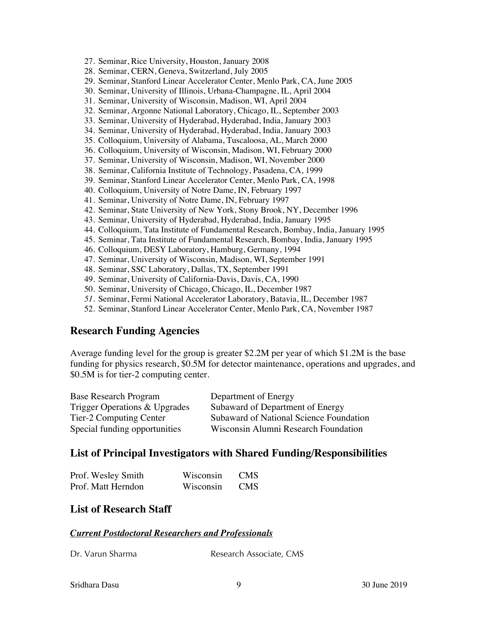- 27. Seminar, Rice University, Houston, January 2008
- 28. Seminar, CERN, Geneva, Switzerland, July 2005
- 29. Seminar, Stanford Linear Accelerator Center, Menlo Park, CA, June 2005
- 30. Seminar, University of Illinois, Urbana-Champagne, IL, April 2004
- 31. Seminar, University of Wisconsin, Madison, WI, April 2004
- 32. Seminar, Argonne National Laboratory, Chicago, IL, September 2003
- 33. Seminar, University of Hyderabad, Hyderabad, India, January 2003
- 34. Seminar, University of Hyderabad, Hyderabad, India, January 2003
- 35. Colloquium, University of Alabama, Tuscaloosa, AL, March 2000
- 36. Colloquium, University of Wisconsin, Madison, WI, February 2000
- 37. Seminar, University of Wisconsin, Madison, WI, November 2000
- 38. Seminar, California Institute of Technology, Pasadena, CA, 1999
- 39. Seminar, Stanford Linear Accelerator Center, Menlo Park, CA, 1998
- 40. Colloquium, University of Notre Dame, IN, February 1997
- 41. Seminar, University of Notre Dame, IN, February 1997
- 42. Seminar, State University of New York, Stony Brook, NY, December 1996
- 43. Seminar, University of Hyderabad, Hyderabad, India, January 1995
- 44. Colloquium, Tata Institute of Fundamental Research, Bombay, India, January 1995
- 45. Seminar, Tata Institute of Fundamental Research, Bombay, India, January 1995
- 46. Colloquium, DESY Laboratory, Hamburg, Germany, 1994
- 47. Seminar, University of Wisconsin, Madison, WI, September 1991
- 48. Seminar, SSC Laboratory, Dallas, TX, September 1991
- 49. Seminar, University of California-Davis, Davis, CA, 1990
- 50. Seminar, University of Chicago, Chicago, IL, December 1987
- *51.* Seminar, Fermi National Accelerator Laboratory, Batavia, IL, December 1987
- 52. Seminar, Stanford Linear Accelerator Center, Menlo Park, CA, November 1987

# **Research Funding Agencies**

Average funding level for the group is greater \$2.2M per year of which \$1.2M is the base funding for physics research, \$0.5M for detector maintenance, operations and upgrades, and \$0.5M is for tier-2 computing center.

| <b>Base Research Program</b>  | Department of Energy                    |
|-------------------------------|-----------------------------------------|
| Trigger Operations & Upgrades | Subaward of Department of Energy        |
| Tier-2 Computing Center       | Subaward of National Science Foundation |
| Special funding opportunities | Wisconsin Alumni Research Foundation    |

#### **List of Principal Investigators with Shared Funding/Responsibilities**

| Prof. Wesley Smith | Wisconsin | <b>CMS</b> |
|--------------------|-----------|------------|
| Prof. Matt Herndon | Wisconsin | <b>CMS</b> |

# **List of Research Staff**

#### *Current Postdoctoral Researchers and Professionals*

| Dr. Varun Sharma | Research Associate, CMS |
|------------------|-------------------------|
|                  |                         |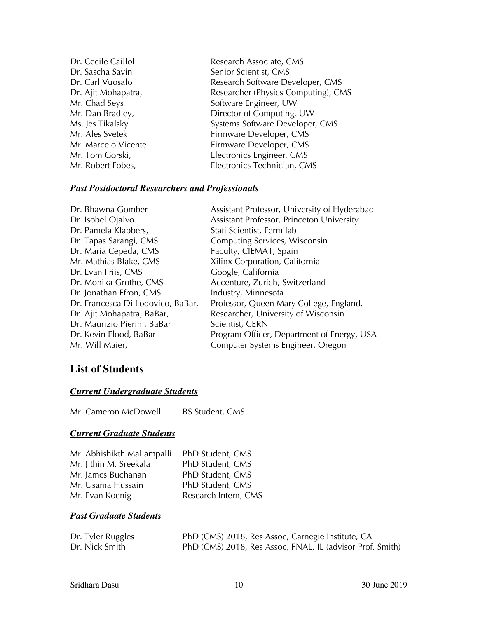Dr. Cecile Caillol **Research Associate, CMS** Dr. Sascha Savin Senior Scientist, CMS Dr. Carl Vuosalo Research Software Developer, CMS Dr. Ajit Mohapatra, The Researcher (Physics Computing), CMS Mr. Chad Seys Software Engineer, UW Mr. Dan Bradley, Director of Computing, UW Ms. Jes Tikalsky Systems Software Developer, CMS Mr. Ales Svetek Firmware Developer, CMS Mr. Marcelo Vicente Firmware Developer, CMS Mr. Tom Gorski, Electronics Engineer, CMS Mr. Robert Fobes, Electronics Technician, CMS

#### *Past Postdoctoral Researchers and Professionals*

| Dr. Bhawna Gomber                 | Assistant Professor, University of Hyderabad |
|-----------------------------------|----------------------------------------------|
| Dr. Isobel Ojalvo                 | Assistant Professor, Princeton University    |
| Dr. Pamela Klabbers,              | Staff Scientist, Fermilab                    |
| Dr. Tapas Sarangi, CMS            | Computing Services, Wisconsin                |
| Dr. Maria Cepeda, CMS             | Faculty, CIEMAT, Spain                       |
| Mr. Mathias Blake, CMS            | Xilinx Corporation, California               |
| Dr. Evan Friis, CMS               | Google, California                           |
| Dr. Monika Grothe, CMS            | Accenture, Zurich, Switzerland               |
| Dr. Jonathan Efron, CMS           | Industry, Minnesota                          |
| Dr. Francesca Di Lodovico, BaBar, | Professor, Queen Mary College, England.      |
| Dr. Ajit Mohapatra, BaBar,        | Researcher, University of Wisconsin          |
| Dr. Maurizio Pierini, BaBar       | Scientist, CERN                              |
| Dr. Kevin Flood, BaBar            | Program Officer, Department of Energy, USA   |
| Mr. Will Maier,                   | Computer Systems Engineer, Oregon            |

# **List of Students**

#### *Current Undergraduate Students*

Mr. Cameron McDowell BS Student, CMS

# *Current Graduate Students*

| Mr. Abhishikth Mallampalli | PhD Student, CMS     |
|----------------------------|----------------------|
| Mr. Jithin M. Sreekala     | PhD Student, CMS     |
| Mr. James Buchanan         | PhD Student, CMS     |
| Mr. Usama Hussain          | PhD Student, CMS     |
| Mr. Evan Koenig            | Research Intern, CMS |

# *Past Graduate Students*

| Dr. Tyler Ruggles | PhD (CMS) 2018, Res Assoc, Carnegie Institute, CA         |
|-------------------|-----------------------------------------------------------|
| Dr. Nick Smith    | PhD (CMS) 2018, Res Assoc, FNAL, IL (advisor Prof. Smith) |